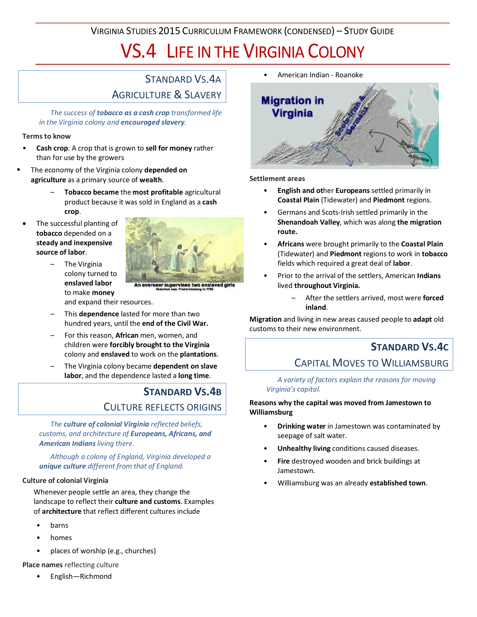VIRGINIA STUDIES 2015 CURRICULUM FRAMEWORK (CONDENSED) – STUDY GUIDE

# VS.4 LIFE IN THE VIRGINIA COLONY

## STANDARD VS.4A AGRICULTURE & SLAVERY

*The success of tobacco as a cash crop transformed life in the Virginia colony and encouraged slavery.*

#### **Terms to know**

- **Cash crop**: A crop that is grown to **sell for money** rather than for use by the growers
- The economy of the Virginia colony **depended on agriculture** as a primary source of **wealth**.
	- **Tobacco became** the **most profitable** agricultural product because it was sold in England as a **cash crop**.
	- The successful planting of **tobacco** depended on a **steady and inexpensive source of labor**.



- The Virginia colony turned to **enslaved labor** to make **money**
- An overseer supervises two enslaved gir

and expand their resources.

- This **dependence** lasted for more than two hundred years, until the **end of the Civil War.**
- For this reason, **African** men, women, and children were **forcibly brought to the Virginia** colony and **enslaved** to work on the **plantations**.
- The Virginia colony became **dependent on slave labor**, and the dependence lasted a **long time**.

## **STANDARD VS.4B** CULTURE REFLECTS ORIGINS

*The culture of colonial Virginia reflected beliefs, customs, and architecture of Europeans, Africans, and American Indians living there.*

*Although a colony of England, Virginia developed a unique culture different from that of England.*

#### **Culture of colonial Virginia**

Whenever people settle an area, they change the landscape to reflect their **culture and customs**. Examples of **architecture** that reflect different cultures include

- barns
- homes
- places of worship (e.g., churches)
- **Place names** reflecting culture
	- English—Richmond

• American Indian - Roanoke



#### **Settlement areas**

- **English and ot**her **Europeans** settled primarily in **Coastal Plain** (Tidewater) and **Piedmont** regions.
- Germans and Scots-Irish settled primarily in the **Shenandoah Valley**, which was along **the migration route.**
- **Africans** were brought primarily to the **Coastal Plain** (Tidewater) and **Piedmont** regions to work in **tobacco** fields which required a great deal of **labor**.
- Prior to the arrival of the settlers, American **Indians** lived **throughout Virginia.**
	- After the settlers arrived, most were **forced inland**.

**Migration** and living in new areas caused people to **adapt** old customs to their new environment.

## **STANDARD VS.4C** CAPITAL MOVES TO WILLIAMSBURG

*A variety of factors explain the reasons for moving Virginia's capital.*

**Reasons why the capital was moved from Jamestown to Williamsburg**

- **Drinking water** in Jamestown was contaminated by seepage of salt water.
- **Unhealthy living** conditions caused diseases.
- **Fire** destroyed wooden and brick buildings at Jamestown.
- Williamsburg was an already **established town**.